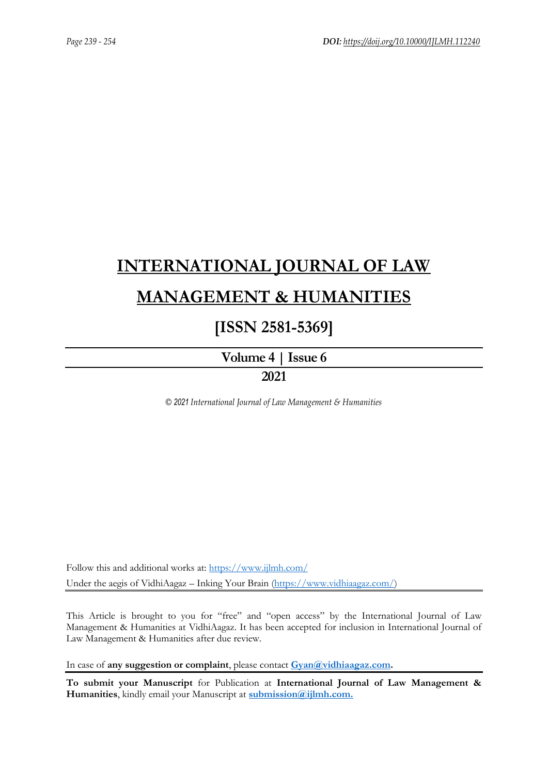# **[INTERNATIONAL JOURNAL OF LAW](https://www.ijlmh.com/)  [MANAGEMENT & HUMANITIES](https://www.ijlmh.com/)**

# **[ISSN 2581-5369]**

**[Volume 4 |](https://www.ijlmh.com/publications/volume-iv-issue-vi/) Issue 6**

# **2021**

*© 2021 International Journal of Law Management & Humanities*

Follow this and additional works at:<https://www.ijlmh.com/> Under the aegis of VidhiAagaz – Inking Your Brain [\(https://www.vidhiaagaz.com/\)](https://www.vidhiaagaz.com/)

This Article is brought to you for "free" and "open access" by the International Journal of Law Management & Humanities at VidhiAagaz. It has been accepted for inclusion in International Journal of Law Management & Humanities after due review.

In case of **any suggestion or complaint**, please contact **[Gyan@vidhiaagaz.com.](mailto:Gyan@vidhiaagaz.com)** 

**To submit your Manuscript** for Publication at **International Journal of Law Management & Humanities**, kindly email your Manuscript at **[submission@ijlmh.com.](mailto:submission@ijlmh.com)**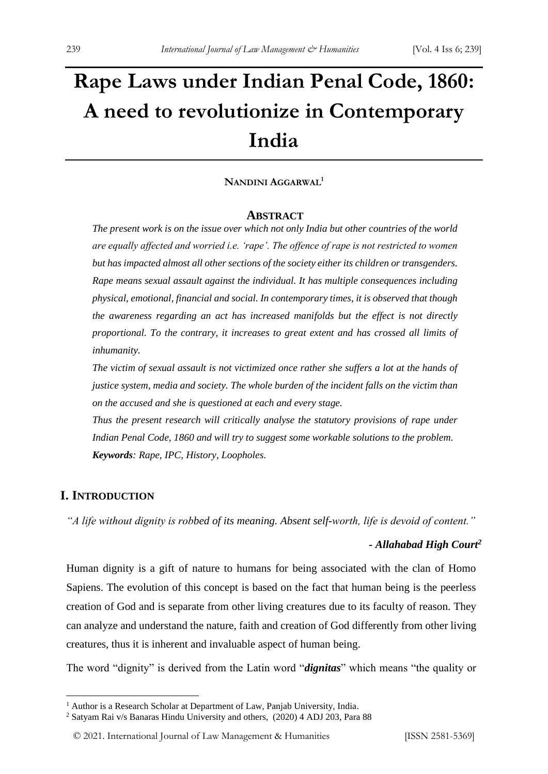# **Rape Laws under Indian Penal Code, 1860: A need to revolutionize in Contemporary India**

# **NANDINI AGGARWAL<sup>1</sup>**

### **ABSTRACT**

*The present work is on the issue over which not only India but other countries of the world are equally affected and worried i.e. 'rape'. The offence of rape is not restricted to women but has impacted almost all other sections of the society either its children or transgenders. Rape means sexual assault against the individual. It has multiple consequences including physical, emotional, financial and social. In contemporary times, it is observed that though the awareness regarding an act has increased manifolds but the effect is not directly proportional. To the contrary, it increases to great extent and has crossed all limits of inhumanity.* 

*The victim of sexual assault is not victimized once rather she suffers a lot at the hands of justice system, media and society. The whole burden of the incident falls on the victim than on the accused and she is questioned at each and every stage.* 

*Thus the present research will critically analyse the statutory provisions of rape under Indian Penal Code, 1860 and will try to suggest some workable solutions to the problem. Keywords: Rape, IPC, History, Loopholes.*

# **I. INTRODUCTION**

*"A life without dignity is robbed of its meaning. Absent self-worth, life is devoid of content."*

#### *- Allahabad High Court<sup>2</sup>*

Human dignity is a gift of nature to humans for being associated with the clan of Homo Sapiens. The evolution of this concept is based on the fact that human being is the peerless creation of God and is separate from other living creatures due to its faculty of reason. They can analyze and understand the nature, faith and creation of God differently from other living creatures, thus it is inherent and invaluable aspect of human being.

The word "dignity" is derived from the Latin word "*dignitas*" which means "the quality or

<sup>&</sup>lt;sup>1</sup> Author is a Research Scholar at Department of Law, Panjab University, India.

<sup>2</sup> Satyam Rai v/s Banaras Hindu University and others, (2020) 4 ADJ 203, Para 88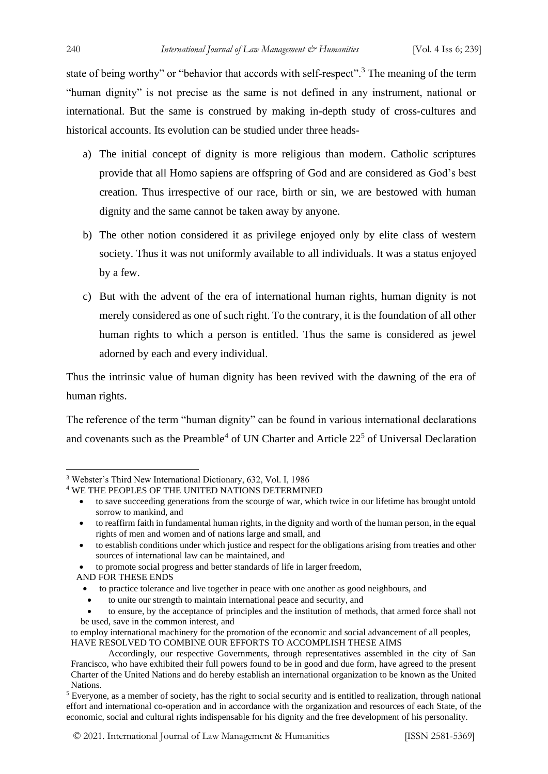state of being worthy" or "behavior that accords with self-respect".<sup>3</sup> The meaning of the term "human dignity" is not precise as the same is not defined in any instrument, national or international. But the same is construed by making in-depth study of cross-cultures and historical accounts. Its evolution can be studied under three heads-

- a) The initial concept of dignity is more religious than modern. Catholic scriptures provide that all Homo sapiens are offspring of God and are considered as God's best creation. Thus irrespective of our race, birth or sin, we are bestowed with human dignity and the same cannot be taken away by anyone.
- b) The other notion considered it as privilege enjoyed only by elite class of western society. Thus it was not uniformly available to all individuals. It was a status enjoyed by a few.
- c) But with the advent of the era of international human rights, human dignity is not merely considered as one of such right. To the contrary, it is the foundation of all other human rights to which a person is entitled. Thus the same is considered as jewel adorned by each and every individual.

Thus the intrinsic value of human dignity has been revived with the dawning of the era of human rights.

The reference of the term "human dignity" can be found in various international declarations and covenants such as the Preamble<sup>4</sup> of UN Charter and Article  $22<sup>5</sup>$  of Universal Declaration

• to unite our strength to maintain international peace and security, and

<sup>3</sup> Webster's Third New International Dictionary, 632, Vol. I, 1986

<sup>4</sup> WE THE PEOPLES OF THE UNITED NATIONS DETERMINED

<sup>•</sup> to save succeeding generations from the scourge of war, which twice in our lifetime has brought untold sorrow to mankind, and

<sup>•</sup> to reaffirm faith in fundamental human rights, in the dignity and worth of the human person, in the equal rights of men and women and of nations large and small, and

<sup>•</sup> to establish conditions under which justice and respect for the obligations arising from treaties and other sources of international law can be maintained, and

<sup>•</sup> to promote social progress and better standards of life in larger freedom,

AND FOR THESE ENDS

<sup>•</sup> to practice tolerance and live together in peace with one another as good neighbours, and

<sup>•</sup> to ensure, by the acceptance of principles and the institution of methods, that armed force shall not be used, save in the common interest, and

to employ international machinery for the promotion of the economic and social advancement of all peoples, HAVE RESOLVED TO COMBINE OUR EFFORTS TO ACCOMPLISH THESE AIMS

Accordingly, our respective Governments, through representatives assembled in the city of San Francisco, who have exhibited their full powers found to be in good and due form, have agreed to the present Charter of the United Nations and do hereby establish an international organization to be known as the United Nations.

<sup>&</sup>lt;sup>5</sup> Everyone, as a member of society, has the right to social security and is entitled to realization, through national effort and international co-operation and in accordance with the organization and resources of each State, of the economic, social and cultural rights indispensable for his dignity and the free development of his personality.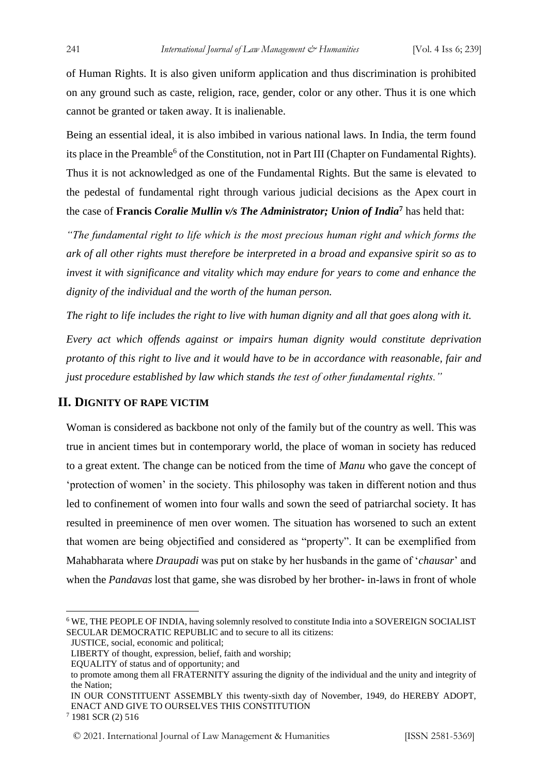of Human Rights. It is also given uniform application and thus discrimination is prohibited on any ground such as caste, religion, race, gender, color or any other. Thus it is one which cannot be granted or taken away. It is inalienable.

Being an essential ideal, it is also imbibed in various national laws. In India, the term found its place in the Preamble<sup>6</sup> of the Constitution, not in Part III (Chapter on Fundamental Rights). Thus it is not acknowledged as one of the Fundamental Rights. But the same is elevated to the pedestal of fundamental right through various judicial decisions as the Apex court in the case of **Francis** *Coralie Mullin v/s The Administrator; Union of India***<sup>7</sup>** has held that:

*"The fundamental right to life which is the most precious human right and which forms the ark of all other rights must therefore be interpreted in a broad and expansive spirit so as to invest it with significance and vitality which may endure for years to come and enhance the dignity of the individual and the worth of the human person.*

*The right to life includes the right to live with human dignity and all that goes along with it.*

*Every act which offends against or impairs human dignity would constitute deprivation protanto of this right to live and it would have to be in accordance with reasonable, fair and just procedure established by law which stands the test of other fundamental rights."*

# **II. DIGNITY OF RAPE VICTIM**

Woman is considered as backbone not only of the family but of the country as well. This was true in ancient times but in contemporary world, the place of woman in society has reduced to a great extent. The change can be noticed from the time of *Manu* who gave the concept of 'protection of women' in the society. This philosophy was taken in different notion and thus led to confinement of women into four walls and sown the seed of patriarchal society. It has resulted in preeminence of men over women. The situation has worsened to such an extent that women are being objectified and considered as "property". It can be exemplified from Mahabharata where *Draupadi* was put on stake by her husbands in the game of '*chausar*' and when the *Pandavas* lost that game, she was disrobed by her brother- in-laws in front of whole

<sup>6</sup> WE, THE PEOPLE OF INDIA, having solemnly resolved to constitute India into a SOVEREIGN SOCIALIST SECULAR DEMOCRATIC REPUBLIC and to secure to all its citizens:

JUSTICE, social, economic and political;

LIBERTY of thought, expression, belief, faith and worship;

EQUALITY of status and of opportunity; and

to promote among them all FRATERNITY assuring the dignity of the individual and the unity and integrity of the Nation;

IN OUR CONSTITUENT ASSEMBLY this twenty-sixth day of November, 1949, do HEREBY ADOPT, ENACT AND GIVE TO OURSELVES THIS CONSTITUTION

 $7$  1981 SCR (2) 516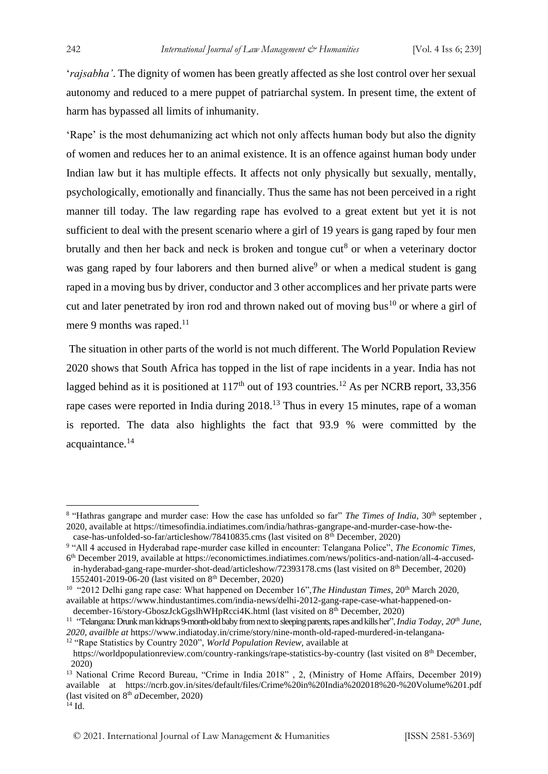'*rajsabha'*. The dignity of women has been greatly affected as she lost control over her sexual autonomy and reduced to a mere puppet of patriarchal system. In present time, the extent of harm has bypassed all limits of inhumanity.

'Rape' is the most dehumanizing act which not only affects human body but also the dignity of women and reduces her to an animal existence. It is an offence against human body under Indian law but it has multiple effects. It affects not only physically but sexually, mentally, psychologically, emotionally and financially. Thus the same has not been perceived in a right manner till today. The law regarding rape has evolved to a great extent but yet it is not sufficient to deal with the present scenario where a girl of 19 years is gang raped by four men brutally and then her back and neck is broken and tongue  $\text{cut}^8$  or when a veterinary doctor was gang raped by four laborers and then burned alive<sup>9</sup> or when a medical student is gang raped in a moving bus by driver, conductor and 3 other accomplices and her private parts were cut and later penetrated by iron rod and thrown naked out of moving bus<sup>10</sup> or where a girl of mere 9 months was raped. $11$ 

The situation in other parts of the world is not much different. The World Population Review 2020 shows that South Africa has topped in the list of rape incidents in a year. India has not lagged behind as it is positioned at  $117<sup>th</sup>$  out of 193 countries.<sup>12</sup> As per NCRB report, 33,356 rape cases were reported in India during 2018.<sup>13</sup> Thus in every 15 minutes, rape of a woman is reported. The data also highlights the fact that 93.9 % were committed by the acquaintance.<sup>14</sup>

december-16/story-GboszJckGgslhWHpRcci4K.html (last visited on 8<sup>th</sup> December, 2020)

<sup>&</sup>lt;sup>8</sup> "Hathras gangrape and murder case: How the case has unfolded so far" *The Times of India*, 30<sup>th</sup> september, 2020, available at https://timesofindia.indiatimes.com/india/hathras-gangrape-and-murder-case-how-thecase-has-unfolded-so-far/articleshow/78410835.cms (last visited on 8<sup>th</sup> December, 2020)

<sup>9</sup> "All 4 accused in Hyderabad rape-murder case killed in encounter: Telangana Police", *The Economic Times,* 

<sup>6</sup> th December 2019, available at https://economictimes.indiatimes.com/news/politics-and-nation/all-4-accusedin-hyderabad-gang-rape-murder-shot-dead/articleshow/72393178.cms (last visited on 8<sup>th</sup> December, 2020) 1552401-2019-06-20 (last visited on 8th December, 2020)

<sup>&</sup>lt;sup>10</sup> "2012 Delhi gang rape case: What happened on December 16", The Hindustan Times, 20<sup>th</sup> March 2020, available at https://www.hindustantimes.com/india-news/delhi-2012-gang-rape-case-what-happened-on-

<sup>11</sup> "Telangana: Drunk man kidnaps 9-month-old baby from next to sleeping parents, rapes and kills her", *India Today, 20th June, 2020, availble at* https://www.indiatoday.in/crime/story/nine-month-old-raped-murdered-in-telangana-<sup>12</sup> "Rape Statistics by Country 2020", *World Population Review,* available at

https://worldpopulationreview.com/country-rankings/rape-statistics-by-country (last visited on 8<sup>th</sup> December, 2020)

<sup>&</sup>lt;sup>13</sup> National Crime Record Bureau, "Crime in India 2018", 2, (Ministry of Home Affairs, December 2019) available at https://ncrb.gov.in/sites/default/files/Crime%20in%20India%202018%20-%20Volume%201.pdf (last visited on 8th *a*December, 2020)

 $^{14}$  Id.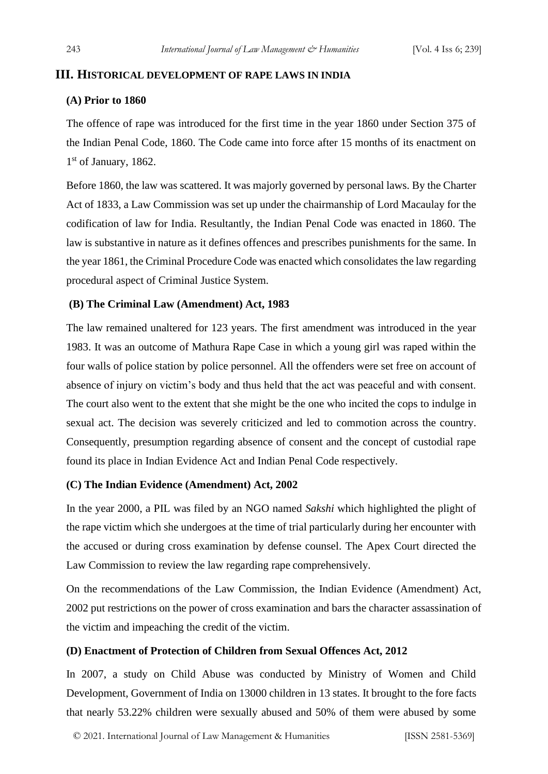# **III. HISTORICAL DEVELOPMENT OF RAPE LAWS IN INDIA**

# **(A) Prior to 1860**

The offence of rape was introduced for the first time in the year 1860 under Section 375 of the Indian Penal Code, 1860. The Code came into force after 15 months of its enactment on 1st of January, 1862.

Before 1860, the law was scattered. It was majorly governed by personal laws. By the Charter Act of 1833, a Law Commission was set up under the chairmanship of Lord Macaulay for the codification of law for India. Resultantly, the Indian Penal Code was enacted in 1860. The law is substantive in nature as it defines offences and prescribes punishments for the same. In the year 1861, the Criminal Procedure Code was enacted which consolidates the law regarding procedural aspect of Criminal Justice System.

# **(B) The Criminal Law (Amendment) Act, 1983**

The law remained unaltered for 123 years. The first amendment was introduced in the year 1983. It was an outcome of Mathura Rape Case in which a young girl was raped within the four walls of police station by police personnel. All the offenders were set free on account of absence of injury on victim's body and thus held that the act was peaceful and with consent. The court also went to the extent that she might be the one who incited the cops to indulge in sexual act. The decision was severely criticized and led to commotion across the country. Consequently, presumption regarding absence of consent and the concept of custodial rape found its place in Indian Evidence Act and Indian Penal Code respectively.

# **(C) The Indian Evidence (Amendment) Act, 2002**

In the year 2000, a PIL was filed by an NGO named *Sakshi* which highlighted the plight of the rape victim which she undergoes at the time of trial particularly during her encounter with the accused or during cross examination by defense counsel. The Apex Court directed the Law Commission to review the law regarding rape comprehensively.

On the recommendations of the Law Commission, the Indian Evidence (Amendment) Act, 2002 put restrictions on the power of cross examination and bars the character assassination of the victim and impeaching the credit of the victim.

# **(D) Enactment of Protection of Children from Sexual Offences Act, 2012**

In 2007, a study on Child Abuse was conducted by Ministry of Women and Child Development, Government of India on 13000 children in 13 states. It brought to the fore facts that nearly 53.22% children were sexually abused and 50% of them were abused by some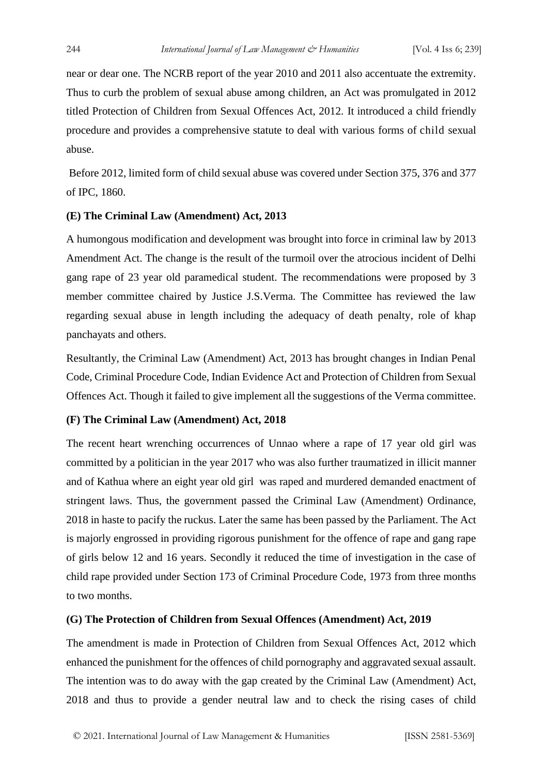near or dear one. The NCRB report of the year 2010 and 2011 also accentuate the extremity. Thus to curb the problem of sexual abuse among children, an Act was promulgated in 2012 titled Protection of Children from Sexual Offences Act, 2012. It introduced a child friendly procedure and provides a comprehensive statute to deal with various forms of child sexual abuse.

Before 2012, limited form of child sexual abuse was covered under Section 375, 376 and 377 of IPC, 1860.

#### **(E) The Criminal Law (Amendment) Act, 2013**

A humongous modification and development was brought into force in criminal law by 2013 Amendment Act. The change is the result of the turmoil over the atrocious incident of Delhi gang rape of 23 year old paramedical student. The recommendations were proposed by 3 member committee chaired by Justice J.S.Verma. The Committee has reviewed the law regarding sexual abuse in length including the adequacy of death penalty, role of khap panchayats and others.

Resultantly, the Criminal Law (Amendment) Act, 2013 has brought changes in Indian Penal Code, Criminal Procedure Code, Indian Evidence Act and Protection of Children from Sexual Offences Act. Though it failed to give implement all the suggestions of the Verma committee.

#### **(F) The Criminal Law (Amendment) Act, 2018**

The recent heart wrenching occurrences of Unnao where a rape of 17 year old girl was committed by a politician in the year 2017 who was also further traumatized in illicit manner and of Kathua where an eight year old girl was raped and murdered demanded enactment of stringent laws. Thus, the government passed the Criminal Law (Amendment) Ordinance, 2018 in haste to pacify the ruckus. Later the same has been passed by the Parliament. The Act is majorly engrossed in providing rigorous punishment for the offence of rape and gang rape of girls below 12 and 16 years. Secondly it reduced the time of investigation in the case of child rape provided under Section 173 of Criminal Procedure Code, 1973 from three months to two months.

#### **(G) The Protection of Children from Sexual Offences (Amendment) Act, 2019**

The amendment is made in Protection of Children from Sexual Offences Act, 2012 which enhanced the punishment for the offences of child pornography and aggravated sexual assault. The intention was to do away with the gap created by the Criminal Law (Amendment) Act, 2018 and thus to provide a gender neutral law and to check the rising cases of child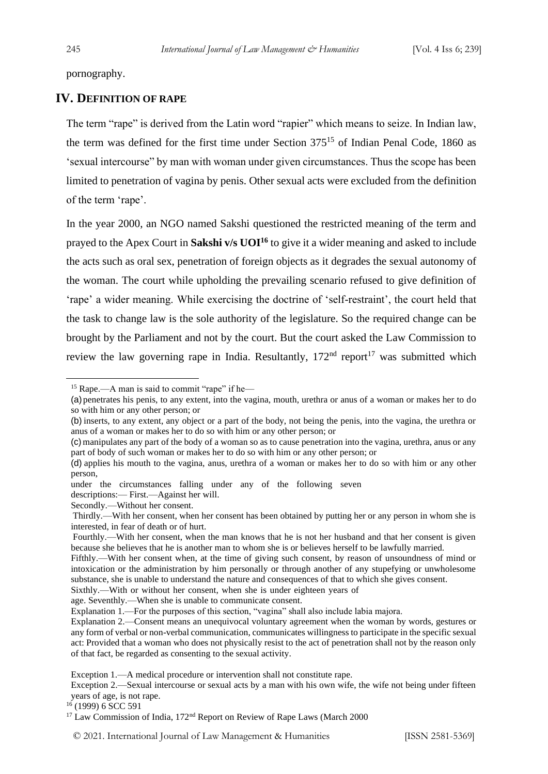pornography.

### **IV. DEFINITION OF RAPE**

The term "rape" is derived from the Latin word "rapier" which means to seize. In Indian law, the term was defined for the first time under Section  $375^{15}$  of Indian Penal Code, 1860 as 'sexual intercourse" by man with woman under given circumstances. Thus the scope has been limited to penetration of vagina by penis. Other sexual acts were excluded from the definition of the term 'rape'.

In the year 2000, an NGO named Sakshi questioned the restricted meaning of the term and prayed to the Apex Court in **Sakshi v/s UOI<sup>16</sup>** to give it a wider meaning and asked to include the acts such as oral sex, penetration of foreign objects as it degrades the sexual autonomy of the woman. The court while upholding the prevailing scenario refused to give definition of 'rape' a wider meaning. While exercising the doctrine of 'self-restraint', the court held that the task to change law is the sole authority of the legislature. So the required change can be brought by the Parliament and not by the court. But the court asked the Law Commission to review the law governing rape in India. Resultantly,  $172<sup>nd</sup>$  report<sup>17</sup> was submitted which

Sixthly.—With or without her consent, when she is under eighteen years of

age. Seventhly.—When she is unable to communicate consent.

Explanation 1.—For the purposes of this section, "vagina" shall also include labia majora.

<sup>&</sup>lt;sup>15</sup> Rape.—A man is said to commit "rape" if he—

<sup>(</sup>a)penetrates his penis, to any extent, into the vagina, mouth, urethra or anus of a woman or makes her to do so with him or any other person; or

<sup>(</sup>b) inserts, to any extent, any object or a part of the body, not being the penis, into the vagina, the urethra or anus of a woman or makes her to do so with him or any other person; or

<sup>(</sup>c) manipulates any part of the body of a woman so as to cause penetration into the vagina, urethra, anus or any part of body of such woman or makes her to do so with him or any other person; or

<sup>(</sup>d) applies his mouth to the vagina, anus, urethra of a woman or makes her to do so with him or any other person,

under the circumstances falling under any of the following seven

descriptions:— First.—Against her will.

Secondly.—Without her consent.

Thirdly.—With her consent, when her consent has been obtained by putting her or any person in whom she is interested, in fear of death or of hurt.

Fourthly.—With her consent, when the man knows that he is not her husband and that her consent is given because she believes that he is another man to whom she is or believes herself to be lawfully married.

Fifthly.—With her consent when, at the time of giving such consent, by reason of unsoundness of mind or intoxication or the administration by him personally or through another of any stupefying or unwholesome substance, she is unable to understand the nature and consequences of that to which she gives consent.

Explanation 2.—Consent means an unequivocal voluntary agreement when the woman by words, gestures or any form of verbal or non-verbal communication, communicates willingness to participate in the specific sexual act: Provided that a woman who does not physically resist to the act of penetration shall not by the reason only of that fact, be regarded as consenting to the sexual activity.

Exception 1.—A medical procedure or intervention shall not constitute rape.

Exception 2.—Sexual intercourse or sexual acts by a man with his own wife, the wife not being under fifteen years of age, is not rape.

 $16$  (1999) 6 SCC 591

<sup>&</sup>lt;sup>17</sup> Law Commission of India, 172<sup>nd</sup> Report on Review of Rape Laws (March 2000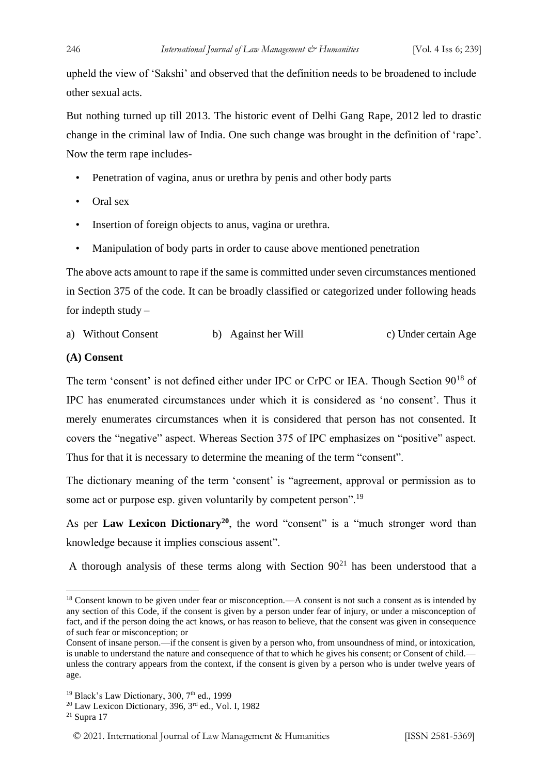upheld the view of 'Sakshi' and observed that the definition needs to be broadened to include other sexual acts.

But nothing turned up till 2013. The historic event of Delhi Gang Rape, 2012 led to drastic change in the criminal law of India. One such change was brought in the definition of 'rape'. Now the term rape includes-

- Penetration of vagina, anus or urethra by penis and other body parts
- Oral sex
- Insertion of foreign objects to anus, vagina or urethra.
- Manipulation of body parts in order to cause above mentioned penetration

The above acts amount to rape if the same is committed under seven circumstances mentioned in Section 375 of the code. It can be broadly classified or categorized under following heads for indepth study –

a) Without Consent b) Against her Will c) Under certain Age

#### **(A) Consent**

The term 'consent' is not defined either under IPC or CrPC or IEA. Though Section 90<sup>18</sup> of IPC has enumerated circumstances under which it is considered as 'no consent'. Thus it merely enumerates circumstances when it is considered that person has not consented. It covers the "negative" aspect. Whereas Section 375 of IPC emphasizes on "positive" aspect. Thus for that it is necessary to determine the meaning of the term "consent".

The dictionary meaning of the term 'consent' is "agreement, approval or permission as to some act or purpose esp. given voluntarily by competent person".<sup>19</sup>

As per **Law Lexicon Dictionary<sup>20</sup>**, the word "consent" is a "much stronger word than knowledge because it implies conscious assent".

A thorough analysis of these terms along with Section  $90<sup>21</sup>$  has been understood that a

<sup>&</sup>lt;sup>18</sup> Consent known to be given under fear or misconception.—A consent is not such a consent as is intended by any section of this Code, if the consent is given by a person under fear of injury, or under a misconception of fact, and if the person doing the act knows, or has reason to believe, that the consent was given in consequence of such fear or misconception; or

Consent of insane person.—if the consent is given by a person who, from unsoundness of mind, or intoxication, is unable to understand the nature and consequence of that to which he gives his consent; or Consent of child. unless the contrary appears from the context, if the consent is given by a person who is under twelve years of age.

<sup>&</sup>lt;sup>19</sup> Black's Law Dictionary, 300,  $7<sup>th</sup>$  ed., 1999

<sup>20</sup> Law Lexicon Dictionary, 396, 3rd ed., Vol. I, 1982

 $21$  Supra 17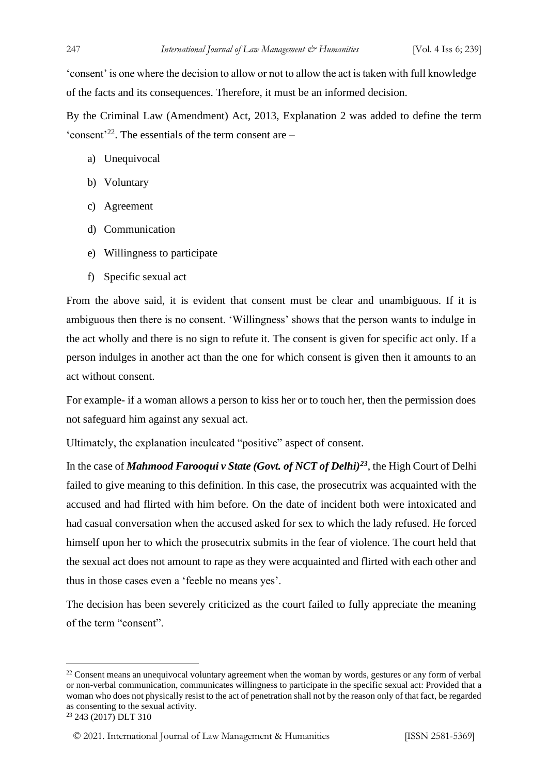'consent' is one where the decision to allow or not to allow the act is taken with full knowledge of the facts and its consequences. Therefore, it must be an informed decision.

By the Criminal Law (Amendment) Act, 2013, Explanation 2 was added to define the term 'consent'<sup>22</sup>. The essentials of the term consent are  $-$ 

- a) Unequivocal
- b) Voluntary
- c) Agreement
- d) Communication
- e) Willingness to participate
- f) Specific sexual act

From the above said, it is evident that consent must be clear and unambiguous. If it is ambiguous then there is no consent. 'Willingness' shows that the person wants to indulge in the act wholly and there is no sign to refute it. The consent is given for specific act only. If a person indulges in another act than the one for which consent is given then it amounts to an act without consent.

For example- if a woman allows a person to kiss her or to touch her, then the permission does not safeguard him against any sexual act.

Ultimately, the explanation inculcated "positive" aspect of consent.

In the case of *Mahmood Farooqui v State (Govt. of NCT of Delhi)<sup>23</sup>*, the High Court of Delhi failed to give meaning to this definition. In this case, the prosecutrix was acquainted with the accused and had flirted with him before. On the date of incident both were intoxicated and had casual conversation when the accused asked for sex to which the lady refused. He forced himself upon her to which the prosecutrix submits in the fear of violence. The court held that the sexual act does not amount to rape as they were acquainted and flirted with each other and thus in those cases even a 'feeble no means yes'.

The decision has been severely criticized as the court failed to fully appreciate the meaning of the term "consent".

<sup>&</sup>lt;sup>22</sup> Consent means an unequivocal voluntary agreement when the woman by words, gestures or any form of verbal or non-verbal communication, communicates willingness to participate in the specific sexual act: Provided that a woman who does not physically resist to the act of penetration shall not by the reason only of that fact, be regarded as consenting to the sexual activity.

<sup>23</sup> 243 (2017) DLT 310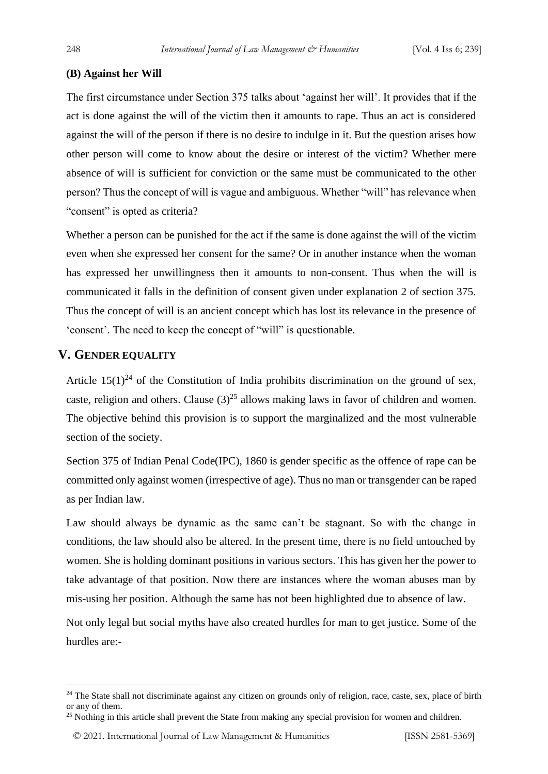#### **(B) Against her Will**

The first circumstance under Section 375 talks about 'against her will'. It provides that if the act is done against the will of the victim then it amounts to rape. Thus an act is considered against the will of the person if there is no desire to indulge in it. But the question arises how other person will come to know about the desire or interest of the victim? Whether mere absence of will is sufficient for conviction or the same must be communicated to the other person? Thus the concept of will is vague and ambiguous. Whether "will" has relevance when "consent" is opted as criteria?

Whether a person can be punished for the act if the same is done against the will of the victim even when she expressed her consent for the same? Or in another instance when the woman has expressed her unwillingness then it amounts to non-consent. Thus when the will is communicated it falls in the definition of consent given under explanation 2 of section 375. Thus the concept of will is an ancient concept which has lost its relevance in the presence of 'consent'. The need to keep the concept of "will" is questionable.

#### **V. GENDER EQUALITY**

Article  $15(1)^{24}$  of the Constitution of India prohibits discrimination on the ground of sex, caste, religion and others. Clause  $(3)^{25}$  allows making laws in favor of children and women. The objective behind this provision is to support the marginalized and the most vulnerable section of the society.

Section 375 of Indian Penal Code(IPC), 1860 is gender specific as the offence of rape can be committed only against women (irrespective of age). Thus no man or transgender can be raped as per Indian law.

Law should always be dynamic as the same can't be stagnant. So with the change in conditions, the law should also be altered. In the present time, there is no field untouched by women. She is holding dominant positions in various sectors. This has given her the power to take advantage of that position. Now there are instances where the woman abuses man by mis-using her position. Although the same has not been highlighted due to absence of law.

Not only legal but social myths have also created hurdles for man to get justice. Some of the hurdles are:-

<sup>&</sup>lt;sup>24</sup> The State shall not discriminate against any citizen on grounds only of religion, race, caste, sex, place of birth or any of them.

<sup>&</sup>lt;sup>25</sup> Nothing in this article shall prevent the State from making any special provision for women and children.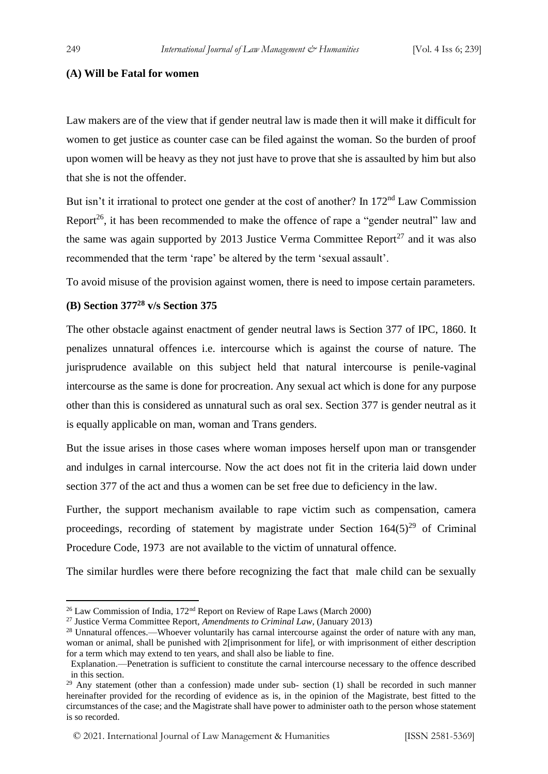#### **(A) Will be Fatal for women**

Law makers are of the view that if gender neutral law is made then it will make it difficult for women to get justice as counter case can be filed against the woman. So the burden of proof upon women will be heavy as they not just have to prove that she is assaulted by him but also that she is not the offender.

But isn't it irrational to protect one gender at the cost of another? In  $172<sup>nd</sup>$  Law Commission Report<sup>26</sup>, it has been recommended to make the offence of rape a "gender neutral" law and the same was again supported by 2013 Justice Verma Committee Report<sup>27</sup> and it was also recommended that the term 'rape' be altered by the term 'sexual assault'.

To avoid misuse of the provision against women, there is need to impose certain parameters.

# **(B) Section 377<sup>28</sup> v/s Section 375**

The other obstacle against enactment of gender neutral laws is Section 377 of IPC, 1860. It penalizes unnatural offences i.e. intercourse which is against the course of nature. The jurisprudence available on this subject held that natural intercourse is penile-vaginal intercourse as the same is done for procreation. Any sexual act which is done for any purpose other than this is considered as unnatural such as oral sex. Section 377 is gender neutral as it is equally applicable on man, woman and Trans genders.

But the issue arises in those cases where woman imposes herself upon man or transgender and indulges in carnal intercourse. Now the act does not fit in the criteria laid down under section 377 of the act and thus a women can be set free due to deficiency in the law.

Further, the support mechanism available to rape victim such as compensation, camera proceedings, recording of statement by magistrate under Section  $164(5)^{29}$  of Criminal Procedure Code, 1973 are not available to the victim of unnatural offence.

The similar hurdles were there before recognizing the fact that male child can be sexually

<sup>&</sup>lt;sup>26</sup> Law Commission of India,  $172<sup>nd</sup>$  Report on Review of Rape Laws (March 2000)

<sup>27</sup> Justice Verma Committee Report, *Amendments to Criminal Law*, (January 2013)

<sup>&</sup>lt;sup>28</sup> Unnatural offences.—Whoever voluntarily has carnal intercourse against the order of nature with any man, woman or animal, shall be punished with 2[imprisonment for life], or with imprisonment of either description for a term which may extend to ten years, and shall also be liable to fine.

Explanation.—Penetration is sufficient to constitute the carnal intercourse necessary to the offence described in this section.

 $29$  Any statement (other than a confession) made under sub- section (1) shall be recorded in such manner hereinafter provided for the recording of evidence as is, in the opinion of the Magistrate, best fitted to the circumstances of the case; and the Magistrate shall have power to administer oath to the person whose statement is so recorded.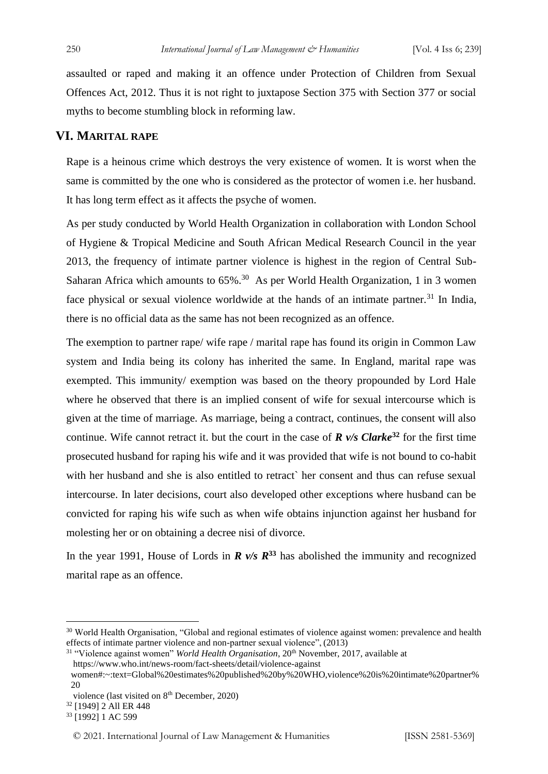assaulted or raped and making it an offence under Protection of Children from Sexual Offences Act, 2012. Thus it is not right to juxtapose Section 375 with Section 377 or social myths to become stumbling block in reforming law.

# **VI. MARITAL RAPE**

Rape is a heinous crime which destroys the very existence of women. It is worst when the same is committed by the one who is considered as the protector of women i.e. her husband. It has long term effect as it affects the psyche of women.

As per study conducted by World Health Organization in collaboration with London School of Hygiene & Tropical Medicine and South African Medical Research Council in the year 2013, the frequency of intimate partner violence is highest in the region of Central Sub-Saharan Africa which amounts to  $65\%$ .<sup>30</sup> As per World Health Organization, 1 in 3 women face physical or sexual violence worldwide at the hands of an intimate partner.<sup>31</sup> In India, there is no official data as the same has not been recognized as an offence.

The exemption to partner rape/ wife rape / marital rape has found its origin in Common Law system and India being its colony has inherited the same. In England, marital rape was exempted. This immunity/ exemption was based on the theory propounded by Lord Hale where he observed that there is an implied consent of wife for sexual intercourse which is given at the time of marriage. As marriage, being a contract, continues, the consent will also continue. Wife cannot retract it. but the court in the case of *R v/s Clarke***<sup>32</sup>** for the first time prosecuted husband for raping his wife and it was provided that wife is not bound to co-habit with her husband and she is also entitled to retract` her consent and thus can refuse sexual intercourse. In later decisions, court also developed other exceptions where husband can be convicted for raping his wife such as when wife obtains injunction against her husband for molesting her or on obtaining a decree nisi of divorce.

In the year 1991, House of Lords in  $\mathbb{R}$  v/s  $\mathbb{R}^{33}$  has abolished the immunity and recognized marital rape as an offence.

© 2021. International Journal of [Law Management & Humanities](https://www.ijlmh.com/) [ISSN 2581-5369]

<sup>&</sup>lt;sup>30</sup> World Health Organisation, "Global and regional estimates of violence against women: prevalence and health effects of intimate partner violence and non-partner sexual violence", (2013)

<sup>&</sup>lt;sup>31</sup> "Violence against women" *World Health Organisation*, 20<sup>th</sup> November, 2017, available at https://www.who.int/news-room/fact-sheets/detail/violence-against

women#:~:text=Global%20estimates%20published%20by%20WHO,violence%20is%20intimate%20partner% 20

violence (last visited on 8<sup>th</sup> December, 2020)

<sup>32</sup> [1949] 2 All ER 448

<sup>33</sup> [1992] 1 AC 599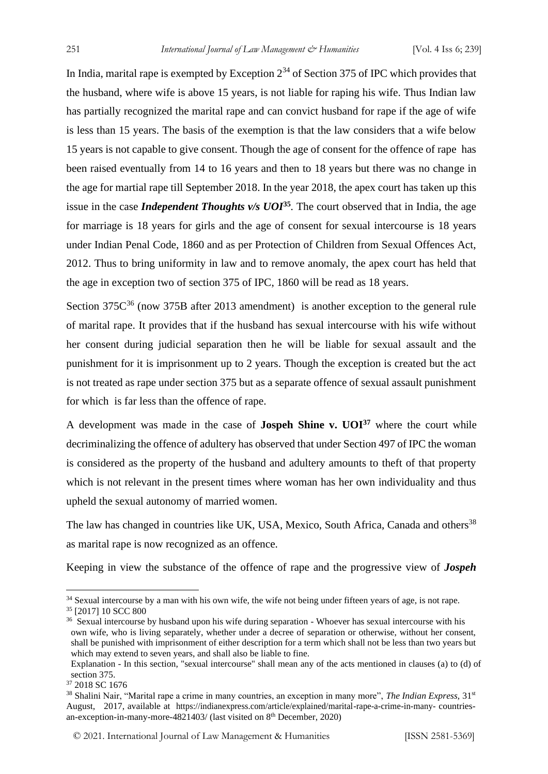In India, marital rape is exempted by Exception  $2^{34}$  of Section 375 of IPC which provides that the husband, where wife is above 15 years, is not liable for raping his wife. Thus Indian law has partially recognized the marital rape and can convict husband for rape if the age of wife is less than 15 years. The basis of the exemption is that the law considers that a wife below 15 years is not capable to give consent. Though the age of consent for the offence of rape has been raised eventually from 14 to 16 years and then to 18 years but there was no change in the age for martial rape till September 2018. In the year 2018, the apex court has taken up this issue in the case *Independent Thoughts v/s UOI***<sup>35</sup>** *.* The court observed that in India, the age for marriage is 18 years for girls and the age of consent for sexual intercourse is 18 years under Indian Penal Code, 1860 and as per Protection of Children from Sexual Offences Act, 2012. Thus to bring uniformity in law and to remove anomaly, the apex court has held that the age in exception two of section 375 of IPC, 1860 will be read as 18 years.

Section  $375C^{36}$  (now  $375B$  after 2013 amendment) is another exception to the general rule of marital rape. It provides that if the husband has sexual intercourse with his wife without her consent during judicial separation then he will be liable for sexual assault and the punishment for it is imprisonment up to 2 years. Though the exception is created but the act is not treated as rape under section 375 but as a separate offence of sexual assault punishment for which is far less than the offence of rape.

A development was made in the case of **Jospeh Shine v. UOI<sup>37</sup>** where the court while decriminalizing the offence of adultery has observed that under Section 497 of IPC the woman is considered as the property of the husband and adultery amounts to theft of that property which is not relevant in the present times where woman has her own individuality and thus upheld the sexual autonomy of married women.

The law has changed in countries like UK, USA, Mexico, South Africa, Canada and others<sup>38</sup> as marital rape is now recognized as an offence.

Keeping in view the substance of the offence of rape and the progressive view of *Jospeh* 

<sup>&</sup>lt;sup>34</sup> Sexual intercourse by a man with his own wife, the wife not being under fifteen years of age, is not rape. <sup>35</sup> [2017] 10 SCC 800

<sup>&</sup>lt;sup>36</sup> Sexual intercourse by husband upon his wife during separation - Whoever has sexual intercourse with his own wife, who is living separately, whether under a decree of separation or otherwise, without her consent, shall be punished with imprisonment of either description for a term which shall not be less than two years but which may extend to seven years, and shall also be liable to fine.

Explanation - In this section, "sexual intercourse" shall mean any of the acts mentioned in clauses (a) to (d) of section 375.

<sup>&</sup>lt;sup>37</sup> 2018 SC 1676

<sup>38</sup> Shalini Nair, "Marital rape a crime in many countries, an exception in many more", *The Indian Express,* 31st August, 2017, available at https://indianexpress.com/article/explained/marital-rape-a-crime-in-many- countriesan-exception-in-many-more-4821403/ (last visited on 8th December, 2020)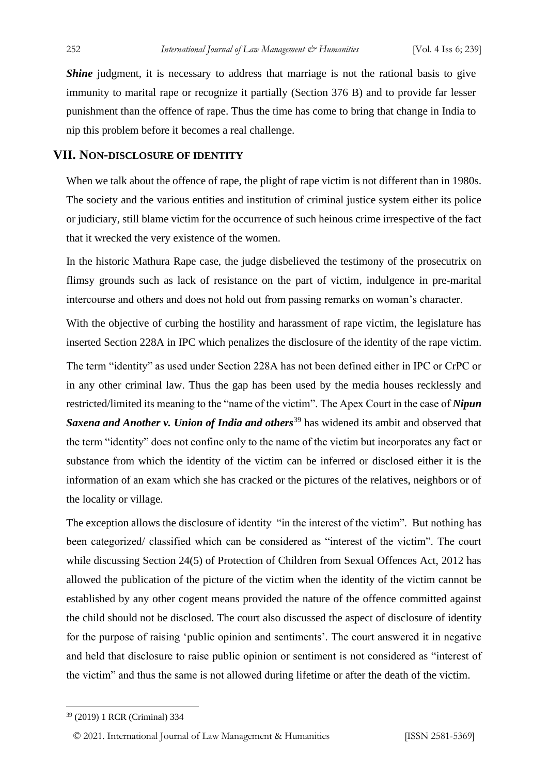*Shine* judgment, it is necessary to address that marriage is not the rational basis to give immunity to marital rape or recognize it partially (Section 376 B) and to provide far lesser punishment than the offence of rape. Thus the time has come to bring that change in India to nip this problem before it becomes a real challenge.

# **VII. NON-DISCLOSURE OF IDENTITY**

When we talk about the offence of rape, the plight of rape victim is not different than in 1980s. The society and the various entities and institution of criminal justice system either its police or judiciary, still blame victim for the occurrence of such heinous crime irrespective of the fact that it wrecked the very existence of the women.

In the historic Mathura Rape case, the judge disbelieved the testimony of the prosecutrix on flimsy grounds such as lack of resistance on the part of victim, indulgence in pre-marital intercourse and others and does not hold out from passing remarks on woman's character.

With the objective of curbing the hostility and harassment of rape victim, the legislature has inserted Section 228A in IPC which penalizes the disclosure of the identity of the rape victim.

The term "identity" as used under Section 228A has not been defined either in IPC or CrPC or in any other criminal law. Thus the gap has been used by the media houses recklessly and restricted/limited its meaning to the "name of the victim". The Apex Court in the case of *Nipun*  **Saxena and Another v. Union of India and others**<sup>39</sup> has widened its ambit and observed that the term "identity" does not confine only to the name of the victim but incorporates any fact or substance from which the identity of the victim can be inferred or disclosed either it is the information of an exam which she has cracked or the pictures of the relatives, neighbors or of the locality or village.

The exception allows the disclosure of identity "in the interest of the victim". But nothing has been categorized/ classified which can be considered as "interest of the victim". The court while discussing Section 24(5) of Protection of Children from Sexual Offences Act, 2012 has allowed the publication of the picture of the victim when the identity of the victim cannot be established by any other cogent means provided the nature of the offence committed against the child should not be disclosed. The court also discussed the aspect of disclosure of identity for the purpose of raising 'public opinion and sentiments'. The court answered it in negative and held that disclosure to raise public opinion or sentiment is not considered as "interest of the victim" and thus the same is not allowed during lifetime or after the death of the victim.

© 2021. International Journal of [Law Management & Humanities](https://www.ijlmh.com/) [ISSN 2581-5369]

<sup>39</sup> (2019) 1 RCR (Criminal) 334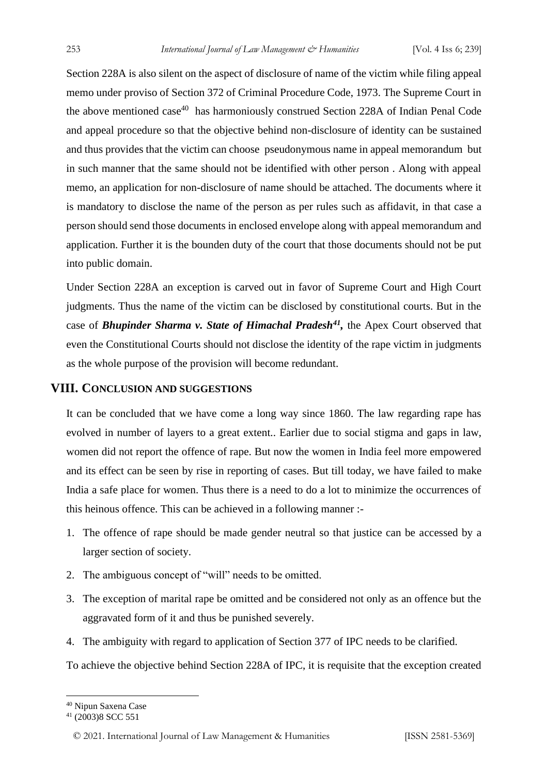Section 228A is also silent on the aspect of disclosure of name of the victim while filing appeal memo under proviso of Section 372 of Criminal Procedure Code, 1973. The Supreme Court in the above mentioned case<sup>40</sup> has harmoniously construed Section 228A of Indian Penal Code and appeal procedure so that the objective behind non-disclosure of identity can be sustained and thus provides that the victim can choose pseudonymous name in appeal memorandum but in such manner that the same should not be identified with other person . Along with appeal memo, an application for non-disclosure of name should be attached. The documents where it is mandatory to disclose the name of the person as per rules such as affidavit, in that case a person should send those documents in enclosed envelope along with appeal memorandum and application. Further it is the bounden duty of the court that those documents should not be put into public domain.

Under Section 228A an exception is carved out in favor of Supreme Court and High Court judgments. Thus the name of the victim can be disclosed by constitutional courts. But in the case of *Bhupinder Sharma v. State of Himachal Pradesh<sup>41</sup>, the Apex Court observed that* even the Constitutional Courts should not disclose the identity of the rape victim in judgments as the whole purpose of the provision will become redundant.

# **VIII. CONCLUSION AND SUGGESTIONS**

It can be concluded that we have come a long way since 1860. The law regarding rape has evolved in number of layers to a great extent.. Earlier due to social stigma and gaps in law, women did not report the offence of rape. But now the women in India feel more empowered and its effect can be seen by rise in reporting of cases. But till today, we have failed to make India a safe place for women. Thus there is a need to do a lot to minimize the occurrences of this heinous offence. This can be achieved in a following manner :-

- 1. The offence of rape should be made gender neutral so that justice can be accessed by a larger section of society.
- 2. The ambiguous concept of "will" needs to be omitted.
- 3. The exception of marital rape be omitted and be considered not only as an offence but the aggravated form of it and thus be punished severely.
- 4. The ambiguity with regard to application of Section 377 of IPC needs to be clarified.

To achieve the objective behind Section 228A of IPC, it is requisite that the exception created

<sup>40</sup> Nipun Saxena Case

<sup>41</sup> (2003)8 SCC 551